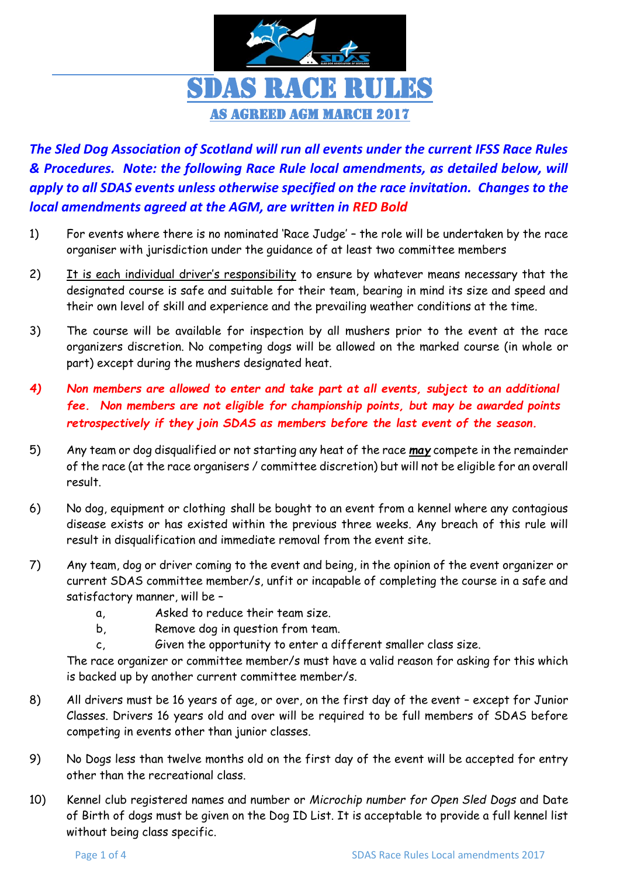

## *The Sled Dog Association of Scotland will run all events under the current IFSS Race Rules & Procedures. Note: the following Race Rule local amendments, as detailed below, will apply to all SDAS events unless otherwise specified on the race invitation. Changes to the local amendments agreed at the AGM, are written in RED Bold*

- 1) For events where there is no nominated 'Race Judge' the role will be undertaken by the race organiser with jurisdiction under the guidance of at least two committee members
- 2) It is each individual driver's responsibility to ensure by whatever means necessary that the designated course is safe and suitable for their team, bearing in mind its size and speed and their own level of skill and experience and the prevailing weather conditions at the time.
- 3) The course will be available for inspection by all mushers prior to the event at the race organizers discretion. No competing dogs will be allowed on the marked course (in whole or part) except during the mushers designated heat.
- *4) Non members are allowed to enter and take part at all events, subject to an additional fee. Non members are not eligible for championship points, but may be awarded points retrospectively if they join SDAS as members before the last event of the season.*
- 5) Any team or dog disqualified or not starting any heat of the race *may* compete in the remainder of the race (at the race organisers / committee discretion) but will not be eligible for an overall result.
- 6) No dog, equipment or clothing shall be bought to an event from a kennel where any contagious disease exists or has existed within the previous three weeks. Any breach of this rule will result in disqualification and immediate removal from the event site.
- 7) Any team, dog or driver coming to the event and being, in the opinion of the event organizer or current SDAS committee member/s, unfit or incapable of completing the course in a safe and satisfactory manner, will be –
	- a, Asked to reduce their team size.
	- b, Remove dog in question from team.
	- c, Given the opportunity to enter a different smaller class size.

The race organizer or committee member/s must have a valid reason for asking for this which is backed up by another current committee member/s.

- 8) All drivers must be 16 years of age, or over, on the first day of the event except for Junior Classes. Drivers 16 years old and over will be required to be full members of SDAS before competing in events other than junior classes.
- 9) No Dogs less than twelve months old on the first day of the event will be accepted for entry other than the recreational class.
- 10) Kennel club registered names and number or *Microchip number for Open Sled Dogs* and Date of Birth of dogs must be given on the Dog ID List. It is acceptable to provide a full kennel list without being class specific.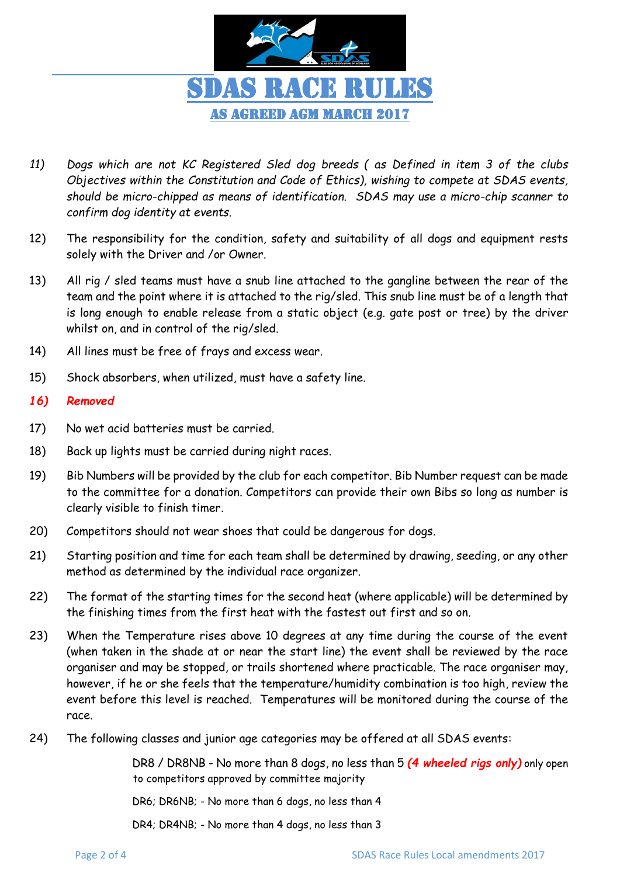

- *11) Dogs which are not KC Registered Sled dog breeds ( as Defined in item 3 of the clubs Objectives within the Constitution and Code of Ethics), wishing to compete at SDAS events, should be micro-chipped as means of identification. SDAS may use a micro-chip scanner to confirm dog identity at events.*
- 12) The responsibility for the condition, safety and suitability of all dogs and equipment rests solely with the Driver and /or Owner.
- 13) All rig / sled teams must have a snub line attached to the gangline between the rear of the team and the point where it is attached to the rig/sled. This snub line must be of a length that is long enough to enable release from a static object (e.g. gate post or tree) by the driver whilst on, and in control of the rig/sled.
- 14) All lines must be free of frays and excess wear.
- 15) Shock absorbers, when utilized, must have a safety line.

## *16) Removed*

- 17) No wet acid batteries must be carried.
- 18) Back up lights must be carried during night races.
- 19) Bib Numbers will be provided by the club for each competitor. Bib Number request can be made to the committee for a donation. Competitors can provide their own Bibs so long as number is clearly visible to finish timer.
- 20) Competitors should not wear shoes that could be dangerous for dogs.
- 21) Starting position and time for each team shall be determined by drawing, seeding, or any other method as determined by the individual race organizer.
- 22) The format of the starting times for the second heat (where applicable) will be determined by the finishing times from the first heat with the fastest out first and so on.
- 23) When the Temperature rises above 10 degrees at any time during the course of the event (when taken in the shade at or near the start line) the event shall be reviewed by the race organiser and may be stopped, or trails shortened where practicable. The race organiser may, however, if he or she feels that the temperature/humidity combination is too high, review the event before this level is reached. Temperatures will be monitored during the course of the race.
- 24) The following classes and junior age categories may be offered at all SDAS events:

DR8 / DR8NB - No more than 8 dogs, no less than 5 *(4 wheeled rigs only)* only open to competitors approved by committee majority

DR6; DR6NB; - No more than 6 dogs, no less than 4

DR4; DR4NB; - No more than 4 dogs, no less than 3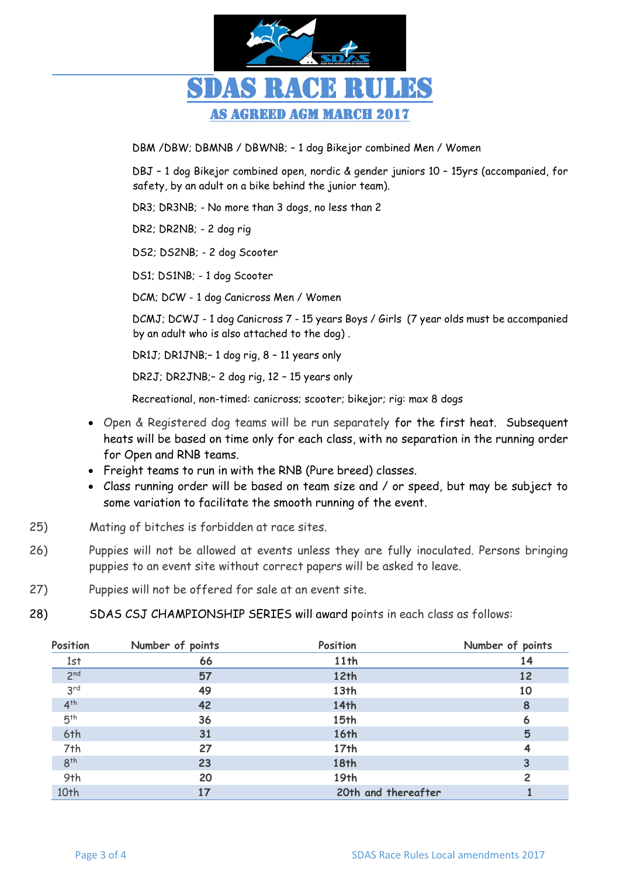

DBM /DBW; DBMNB / DBWNB; – 1 dog Bikejor combined Men / Women

DBJ – 1 dog Bikejor combined open, nordic & gender juniors 10 – 15yrs (accompanied, for safety, by an adult on a bike behind the junior team).

DR3; DR3NB; - No more than 3 dogs, no less than 2

DR2; DR2NB; - 2 dog rig

DS2; DS2NB; - 2 dog Scooter

DS1; DS1NB; - 1 dog Scooter

DCM; DCW - 1 dog Canicross Men / Women

DCMJ; DCWJ - 1 dog Canicross 7 - 15 years Boys / Girls (7 year olds must be accompanied by an adult who is also attached to the dog) .

DR1J; DR1JNB;– 1 dog rig, 8 – 11 years only

DR2J; DR2JNB;– 2 dog rig, 12 – 15 years only

Recreational, non-timed: canicross; scooter; bikejor; rig: max 8 dogs

- Open & Registered dog teams will be run separately for the first heat. Subsequent heats will be based on time only for each class, with no separation in the running order for Open and RNB teams.
- Freight teams to run in with the RNB (Pure breed) classes.
- Class running order will be based on team size and / or speed, but may be subject to some variation to facilitate the smooth running of the event.
- 25) Mating of bitches is forbidden at race sites.
- 26) Puppies will not be allowed at events unless they are fully inoculated. Persons bringing puppies to an event site without correct papers will be asked to leave.
- 27) Puppies will not be offered for sale at an event site.
- 28) SDAS CSJ CHAMPIONSHIP SERIES will award points in each class as follows:

| Position        | Number of points | Position            | Number of points |
|-----------------|------------------|---------------------|------------------|
| 1st             | 66               | 11th                | 14               |
| 2 <sup>nd</sup> | 57               | 12 <sup>th</sup>    | 12               |
| 3 <sup>rd</sup> | 49               | 13 <sub>th</sub>    | 10               |
| $4^{th}$        | 42               | 14th                | 8                |
| 5 <sup>th</sup> | 36               | 15th                | 6                |
| 6th             | 31               | <b>16th</b>         | 5                |
| 7th             | 27               | 17 <sub>th</sub>    |                  |
| 8 <sup>th</sup> | 23               | <b>18th</b>         | 3                |
| 9th             | 20               | 19th                | 2                |
| 10th            | 17               | 20th and thereafter |                  |